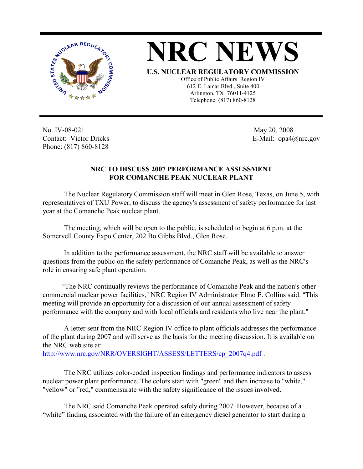



Office of Public Affairs Region IV 612 E. Lamar Blvd., Suite 400 Arlington, TX 76011-4125 Telephone: (817) 860-8128

No. IV-08-021 Contact: Victor Dricks Phone: (817) 860-8128

 May 20, 2008 E-Mail: opa4@nrc.gov

## **NRC TO DISCUSS 2007 PERFORMANCE ASSESSMENT FOR COMANCHE PEAK NUCLEAR PLANT**

The Nuclear Regulatory Commission staff will meet in Glen Rose, Texas, on June 5, with representatives of TXU Power, to discuss the agency's assessment of safety performance for last year at the Comanche Peak nuclear plant.

The meeting, which will be open to the public, is scheduled to begin at 6 p.m. at the Somervell County Expo Center, 202 Bo Gibbs Blvd., Glen Rose.

In addition to the performance assessment, the NRC staff will be available to answer questions from the public on the safety performance of Comanche Peak, as well as the NRC's role in ensuring safe plant operation.

"The NRC continually reviews the performance of Comanche Peak and the nation's other commercial nuclear power facilities," NRC Region IV Administrator Elmo E. Collins said. "This meeting will provide an opportunity for a discussion of our annual assessment of safety performance with the company and with local officials and residents who live near the plant."

A letter sent from the NRC Region IV office to plant officials addresses the performance of the plant during 2007 and will serve as the basis for the meeting discussion. It is available on the NRC web site at: http://www.nrc.gov/NRR/OVERSIGHT/ASSESS/LETTERS/cp\_2007q4.pdf .

The NRC utilizes color-coded inspection findings and performance indicators to assess nuclear power plant performance. The colors start with "green" and then increase to "white," "yellow" or "red," commensurate with the safety significance of the issues involved.

The NRC said Comanche Peak operated safely during 2007. However, because of a "white" finding associated with the failure of an emergency diesel generator to start during a